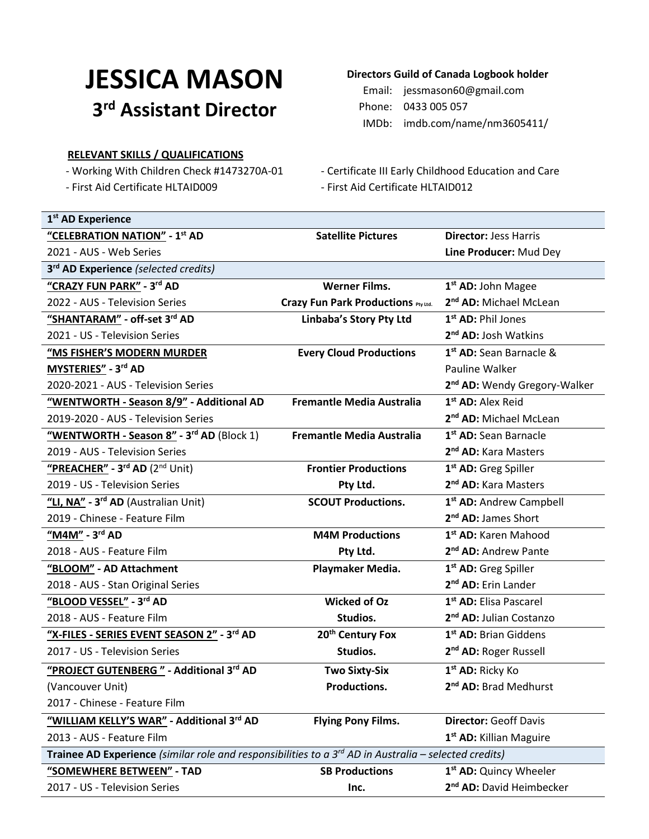# **JESSICA MASON 3 rd Assistant Director**

### **RELEVANT SKILLS / QUALIFICATIONS**

# **Directors Guild of Canada Logbook holder**

Email: jessmason60@gmail.com Phone: 0433 005 057 IMDb: imdb.com/name/nm3605411/

- Working With Children Check #1473270A-01 Certificate III Early Childhood Education and Care
- First Aid Certificate HLTAID009 First Aid Certificate HLTAID012

| 1 <sup>st</sup> AD Experience                                                                                       |                                                      |                                          |  |  |
|---------------------------------------------------------------------------------------------------------------------|------------------------------------------------------|------------------------------------------|--|--|
| "CELEBRATION NATION" - 1st AD                                                                                       | <b>Satellite Pictures</b>                            | <b>Director: Jess Harris</b>             |  |  |
| 2021 - AUS - Web Series                                                                                             |                                                      | Line Producer: Mud Dey                   |  |  |
| 3rd AD Experience (selected credits)                                                                                |                                                      |                                          |  |  |
| "CRAZY FUN PARK" - 3rd AD                                                                                           | <b>Werner Films.</b>                                 | 1 <sup>st</sup> AD: John Magee           |  |  |
| 2022 - AUS - Television Series                                                                                      | Crazy Fun Park Productions Pty Ltd.                  | 2 <sup>nd</sup> AD: Michael McLean       |  |  |
| "SHANTARAM" - off-set 3rd AD                                                                                        | Linbaba's Story Pty Ltd                              | 1 <sup>st</sup> AD: Phil Jones           |  |  |
| 2021 - US - Television Series                                                                                       |                                                      | 2 <sup>nd</sup> AD: Josh Watkins         |  |  |
| "MS FISHER'S MODERN MURDER                                                                                          | <b>Every Cloud Productions</b>                       | 1 <sup>st</sup> AD: Sean Barnacle &      |  |  |
| MYSTERIES" - 3rd AD                                                                                                 |                                                      | Pauline Walker                           |  |  |
| 2020-2021 - AUS - Television Series                                                                                 |                                                      | 2 <sup>nd</sup> AD: Wendy Gregory-Walker |  |  |
| "WENTWORTH - Season 8/9" - Additional AD                                                                            | <b>Fremantle Media Australia</b>                     | 1 <sup>st</sup> AD: Alex Reid            |  |  |
| 2019-2020 - AUS - Television Series                                                                                 |                                                      | 2 <sup>nd</sup> AD: Michael McLean       |  |  |
| "WENTWORTH - Season 8" - 3rd AD (Block 1)                                                                           | <b>Fremantle Media Australia</b>                     | 1 <sup>st</sup> AD: Sean Barnacle        |  |  |
| 2019 - AUS - Television Series                                                                                      |                                                      | 2 <sup>nd</sup> AD: Kara Masters         |  |  |
| "PREACHER" - 3rd AD (2nd Unit)                                                                                      | <b>Frontier Productions</b>                          | 1 <sup>st</sup> AD: Greg Spiller         |  |  |
| 2019 - US - Television Series                                                                                       | Pty Ltd.                                             | 2 <sup>nd</sup> AD: Kara Masters         |  |  |
| "LI, NA" - 3rd AD (Australian Unit)                                                                                 | <b>SCOUT Productions.</b>                            | 1 <sup>st</sup> AD: Andrew Campbell      |  |  |
| 2019 - Chinese - Feature Film                                                                                       |                                                      | 2 <sup>nd</sup> AD: James Short          |  |  |
| "M4M" - 3rd AD                                                                                                      | <b>M4M Productions</b>                               | 1 <sup>st</sup> AD: Karen Mahood         |  |  |
| 2018 - AUS - Feature Film                                                                                           | Pty Ltd.                                             | 2 <sup>nd</sup> AD: Andrew Pante         |  |  |
| "BLOOM" - AD Attachment                                                                                             | 1 <sup>st</sup> AD: Greg Spiller<br>Playmaker Media. |                                          |  |  |
| 2018 - AUS - Stan Original Series                                                                                   |                                                      | 2 <sup>nd</sup> AD: Erin Lander          |  |  |
| "BLOOD VESSEL" - 3rd AD                                                                                             | <b>Wicked of Oz</b>                                  | 1 <sup>st</sup> AD: Elisa Pascarel       |  |  |
| 2018 - AUS - Feature Film                                                                                           | Studios.                                             | 2 <sup>nd</sup> AD: Julian Costanzo      |  |  |
| "X-FILES - SERIES EVENT SEASON 2" - 3rd AD                                                                          | 20 <sup>th</sup> Century Fox                         | 1 <sup>st</sup> AD: Brian Giddens        |  |  |
| 2017 - US - Television Series                                                                                       | Studios.                                             | 2 <sup>nd</sup> AD: Roger Russell        |  |  |
| "PROJECT GUTENBERG" - Additional 3rd AD                                                                             | <b>Two Sixty-Six</b>                                 | 1 <sup>st</sup> AD: Ricky Ko             |  |  |
| (Vancouver Unit)                                                                                                    | Productions.                                         | 2 <sup>nd</sup> AD: Brad Medhurst        |  |  |
| 2017 - Chinese - Feature Film                                                                                       |                                                      |                                          |  |  |
| "WILLIAM KELLY'S WAR" - Additional 3rd AD                                                                           | <b>Flying Pony Films.</b>                            | <b>Director: Geoff Davis</b>             |  |  |
| 2013 - AUS - Feature Film                                                                                           |                                                      | 1 <sup>st</sup> AD: Killian Maguire      |  |  |
| Trainee AD Experience (similar role and responsibilities to $a$ 3 <sup>rd</sup> AD in Australia – selected credits) |                                                      |                                          |  |  |
| "SOMEWHERE BETWEEN" - TAD                                                                                           | <b>SB Productions</b>                                | 1 <sup>st</sup> AD: Quincy Wheeler       |  |  |
| 2017 - US - Television Series                                                                                       | Inc.                                                 | 2 <sup>nd</sup> AD: David Heimbecker     |  |  |